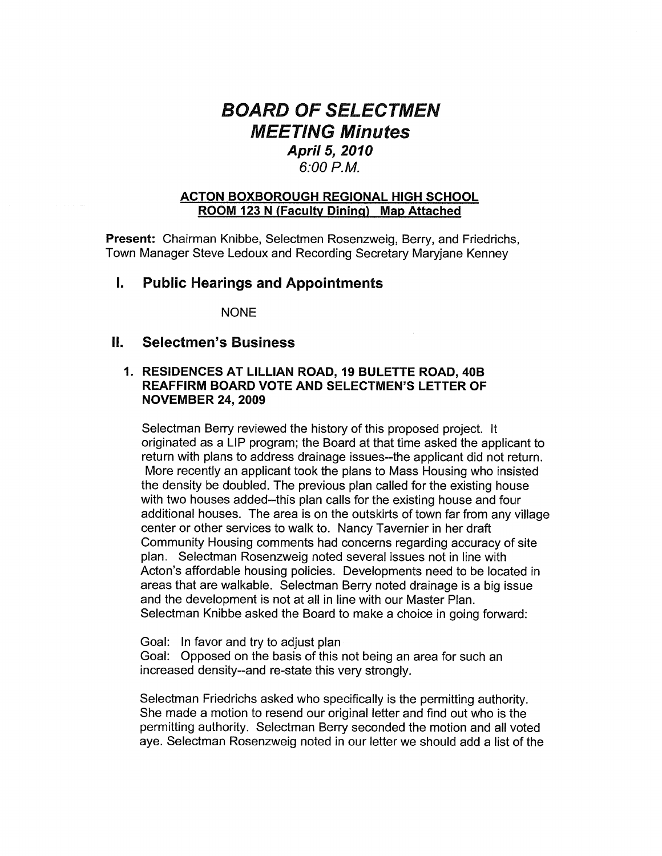# BOARD OF SELECTMEN MEETING Minutes April 5, 2010

# 6:00 P.M.

#### ACTON BOXBOROUGH REGIONAL HIGH SCHOOL ROOM 123 <sup>N</sup> (Faculty Dining) Map Attached

Present: Chairman Knibbe, Selectmen Rosenzweig, Berry, and Friedrichs, Town Manager Steve Ledoux and Recording Secretary Maryjane Kenney

### I. Public Hearings and Appointments

NONE

#### II. Selectmen's Business

#### 1. RESIDENCES AT LILLIAN ROAD, 19 BULETTE ROAD, 40B REAFFIRM BOARD VOTE AND SELECTMEN'S LETTER OF NOVEMBER 24, 2009

Selectman Berry reviewed the history of this proposed project. It originated as a LIP program; the Board at that time asked the applicant to return with plans to address drainage issues--the applicant did not return. More recently an applicant took the plans to Mass Housing who insisted the density be doubled. The previous plan called for the existing house with two houses added--this plan calls for the existing house and four additional houses. The area is on the outskirts of town far from any village center or other services to walk to. Nancy Tavernier in her draft Community Housing comments had concerns regarding accuracy of site plan. Selectman Rosenzweig noted several issues not in line with Acton's affordable housing policies. Developments need to be located in areas that are walkable. Selectman Berry noted drainage is a big issue and the development is not at all in line with our Master Plan. Selectman Knibbe asked the Board to make a choice in going forward:

Goal: In favor and try to adjust plan Goal: Opposed on the basis of this not being an area for such an increased density--and re-state this very strongly.

Selectman Friedrichs asked who specifically is the permitting authority. She made a motion to resend our original letter and find out who is the permitting authority. Selectman Berry seconded the motion and all voted aye. Selectman Rosenzweig noted in our letter we should add a list of the